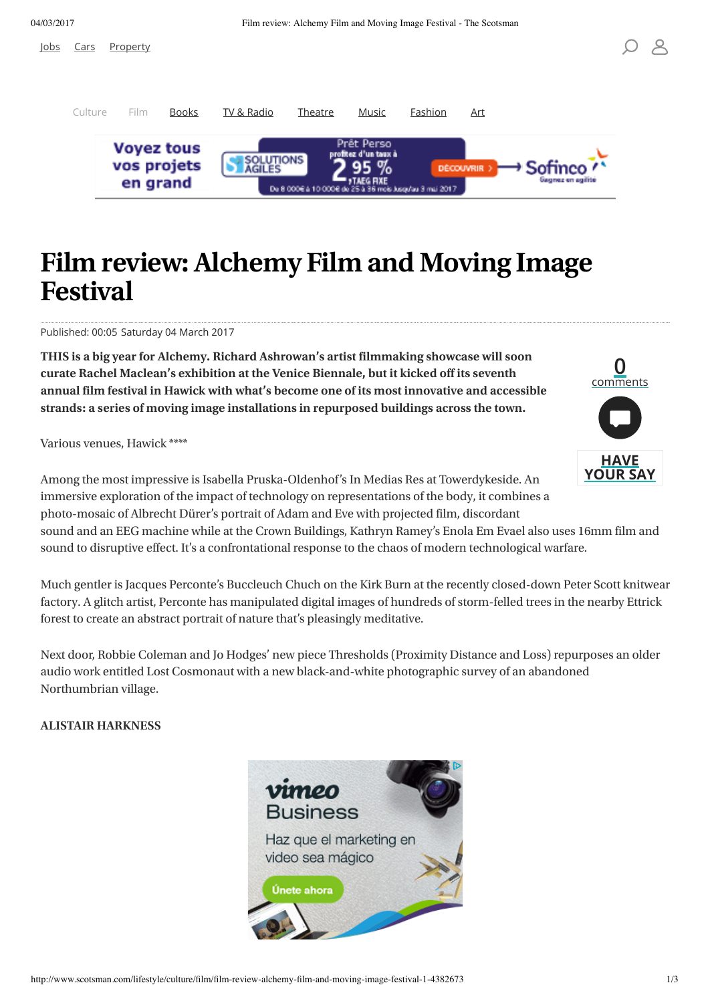[Jo](http://www.scotsman.com/jobs/)bs [Car](http://www.scotsman.com/cars/)s [Propert](http://www.scotsman.com/property)y

**0** comment

**HAV YOUR SAY** 



# **Film review:Alchemy Film and Moving Image Festival**

Published: 00:05 Saturday 04 March 2017

**THIS is a big year for Alchemy. Richard Ashrowan's artist filmmaking showcase will soon curate Rachel Maclean's exhibition at the Venice Biennale, but it kicked off its seventh annual film festival in Hawick with what's become one of its most innovative and accessible strands: a series of moving image installations in repurposed buildings across the town.**

Various venues, Hawick \*\*\*\*

Among the most impressive is Isabella Pruska-Oldenhof's In Medias Res at Towerdykeside. An immersive exploration of the impact of technology on representations of the body, it combines a photo-mosaic of Albrecht Dürer's portrait of Adam and Eve with projected film, discordant

sound and an EEG machine while at the Crown Buildings, Kathryn Ramey's Enola Em Evael also uses 16mm film and sound to disruptive effect. It's a confrontational response to the chaos of modern technological warfare.

Much gentler is Jacques Perconte's Buccleuch Chuch on the Kirk Burn at the recently closed-down Peter Scott knitwear factory. A glitch artist, Perconte has manipulated digital images of hundreds of storm-felled trees in the nearby Ettrick forest to create an abstract portrait of nature that's pleasingly meditative.

Next door, Robbie Coleman and Jo Hodges' new piece Thresholds (Proximity Distance and Loss) repurposes an older audio work entitled Lost Cosmonaut with a new black-and-white photographic survey of an abandoned Northumbrian village.

#### **ALISTAIR HARKNESS**

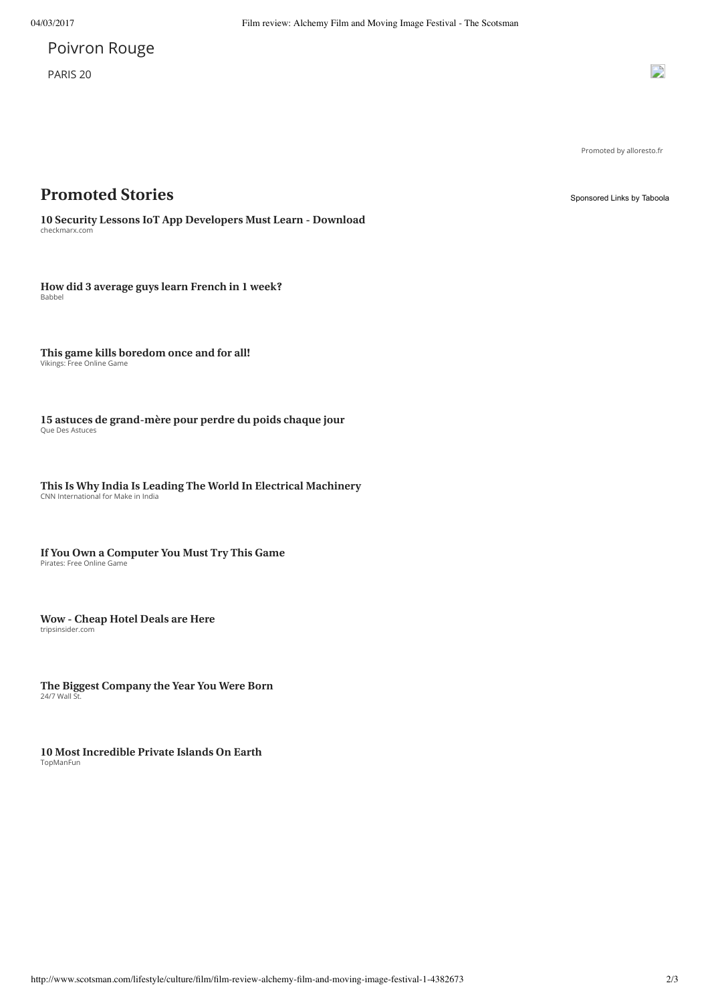# Poivron Rouge

PARIS<sub>20</sub>

 $\mathbf{D}$ 

Promoted by alloresto.fr

### **Promoted Stories** [Sponsored Links](http://popup.taboola.com/en/?template=colorbox&utm_source=johnstonpress-thescotsman&utm_medium=referral&utm_content=thumbnails-b-v2:Below%20Article%20Thumbnails:) [by Taboola](http://popup.taboola.com/en/?template=colorbox&utm_source=johnstonpress-thescotsman&utm_medium=referral&utm_content=thumbnails-b-v2:Below%20Article%20Thumbnails:)

checkmarx.com **10 Security Lessons IoT App [Developers](https://info.checkmarx.com/lp-owasp-top-10-for-iot-explained?utm_source__c=taboola-cpc&utm_medium__c=cpc&utm_campaign__c=taboola_euro_bombo_eng) Must Learn - Download**

Babbel **How did 3 [average](https://go.babbel.com/engmag-a125-vid-frenchchallenge-cd-fra-tb/1_eng_tab_cd?utm_source=taboola&utm_medium=CON&utm_campaign=cd_engall_gen_cfr_frenchchallenge&utm_term=johnstonpress-thescotsman) guys learn French in 1 week?**

[Viking: Free Online Game](https://plarium.com/play/en/vikings/005_village_anim_g?plid=101504&pxl=taboola_fr&publisherID=johnstonpress-thescotsman) **This game kills boredom once and for all!**

Que Des Astuces **15 astuces de [grand-mère](http://www.quedesastuces.com/15-astuces-remedes-de-grand-mere-maigrir-vite/?utm_campaign=Maigrir_grandmere_DT_FR_tab&utm_source=taboola&utm_medium=johnstonpress-thescotsman&utm_content=15+astuces+de+grand-m%C3%A8re+pour+perdre+du+poids+chaque+jour_https%3A%2F%2Fconsole.brax-cdn.com%2Fcreatives%2Fbaea2136-7e77-47fd-9f3c-69306ca65211%2Fmaigrir_grandmere_013_12x8a_9d0835e0964423fbcf9dbca3a129f5fe.1200x800.png) pour perdre du poids chaque jour**

[CNN International for Make in India](http://advertisementfeature.cnn.com/2016/makeinindia/electrical/?utm_medium=ppc&utm_source=tab&utm_campaign=makeinindia) **This Is Why India Is Leading The World In Electrical Machinery**

Pirates: Free Online Game **If You Own a Computer You Must Try This Game**

tripsinsider.com **Wow - Cheap Hotel Deals are Here**

24/7 Wall St. **The Biggest [Company](http://247wallst.com/special-report/2016/05/20/the-biggest-company-the-year-you-were-born/?utm_source=Taboola&utm_medium=CPC&utm_content=the-biggest-company-the-year-you-were-born&utm_campaign=INTL&utm_term=johnstonpress-thescotsman) the Year You Were Born**

TopManFun **10 Most [Incredible](http://www.topmanfun.com/luxury/38-the-10-most-beautiful-private-islands.html?utm_source=taboola&utm_medium=fun_10island_desktop) Private Islands On Earth**